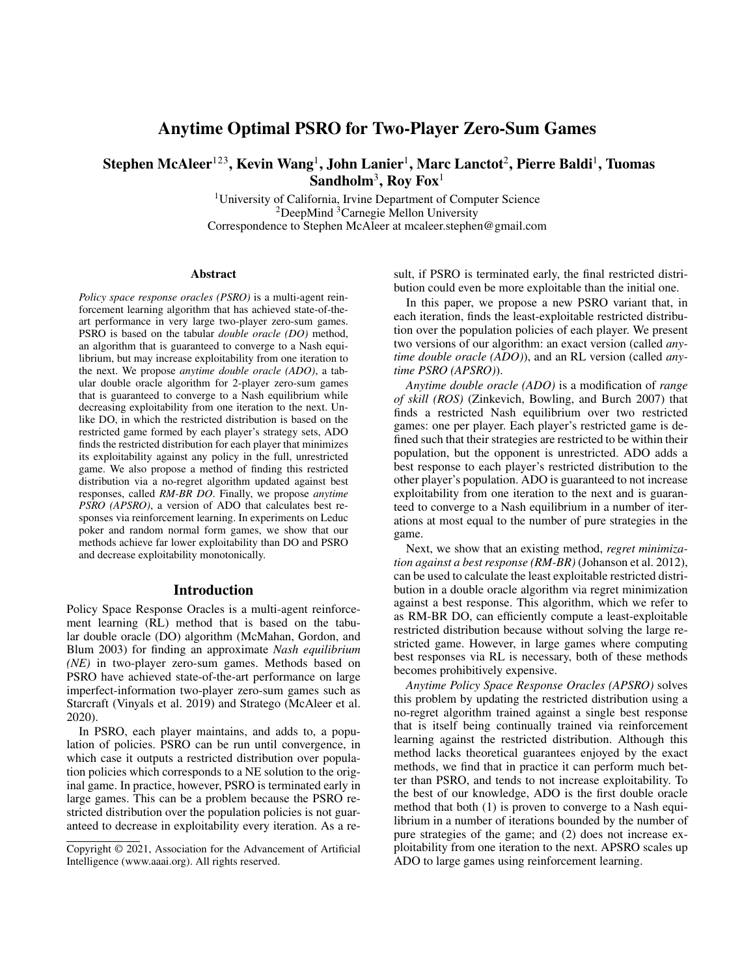# Anytime Optimal PSRO for Two-Player Zero-Sum Games

# Stephen McAleer $^{123}$ , Kevin Wang $^1$ , John Lanier $^1$ , Marc Lanctot $^2$ , Pierre Baldi $^1$ , Tuomas  $\mathbf S$ andholm $^3$ , Roy Fox $^1$

<sup>1</sup>University of California, Irvine Department of Computer Science <sup>2</sup>DeepMind <sup>3</sup>Carnegie Mellon University Correspondence to Stephen McAleer at mcaleer.stephen@gmail.com

#### Abstract

*Policy space response oracles (PSRO)* is a multi-agent reinforcement learning algorithm that has achieved state-of-theart performance in very large two-player zero-sum games. PSRO is based on the tabular *double oracle (DO)* method, an algorithm that is guaranteed to converge to a Nash equilibrium, but may increase exploitability from one iteration to the next. We propose *anytime double oracle (ADO)*, a tabular double oracle algorithm for 2-player zero-sum games that is guaranteed to converge to a Nash equilibrium while decreasing exploitability from one iteration to the next. Unlike DO, in which the restricted distribution is based on the restricted game formed by each player's strategy sets, ADO finds the restricted distribution for each player that minimizes its exploitability against any policy in the full, unrestricted game. We also propose a method of finding this restricted distribution via a no-regret algorithm updated against best responses, called *RM-BR DO*. Finally, we propose *anytime PSRO (APSRO)*, a version of ADO that calculates best responses via reinforcement learning. In experiments on Leduc poker and random normal form games, we show that our methods achieve far lower exploitability than DO and PSRO and decrease exploitability monotonically.

#### Introduction

Policy Space Response Oracles is a multi-agent reinforcement learning (RL) method that is based on the tabular double oracle (DO) algorithm (McMahan, Gordon, and Blum 2003) for finding an approximate *Nash equilibrium (NE)* in two-player zero-sum games. Methods based on PSRO have achieved state-of-the-art performance on large imperfect-information two-player zero-sum games such as Starcraft (Vinyals et al. 2019) and Stratego (McAleer et al. 2020).

In PSRO, each player maintains, and adds to, a population of policies. PSRO can be run until convergence, in which case it outputs a restricted distribution over population policies which corresponds to a NE solution to the original game. In practice, however, PSRO is terminated early in large games. This can be a problem because the PSRO restricted distribution over the population policies is not guaranteed to decrease in exploitability every iteration. As a re-

sult, if PSRO is terminated early, the final restricted distribution could even be more exploitable than the initial one.

In this paper, we propose a new PSRO variant that, in each iteration, finds the least-exploitable restricted distribution over the population policies of each player. We present two versions of our algorithm: an exact version (called *anytime double oracle (ADO)*), and an RL version (called *anytime PSRO (APSRO)*).

*Anytime double oracle (ADO)* is a modification of *range of skill (ROS)* (Zinkevich, Bowling, and Burch 2007) that finds a restricted Nash equilibrium over two restricted games: one per player. Each player's restricted game is defined such that their strategies are restricted to be within their population, but the opponent is unrestricted. ADO adds a best response to each player's restricted distribution to the other player's population. ADO is guaranteed to not increase exploitability from one iteration to the next and is guaranteed to converge to a Nash equilibrium in a number of iterations at most equal to the number of pure strategies in the game.

Next, we show that an existing method, *regret minimization against a best response (RM-BR)* (Johanson et al. 2012), can be used to calculate the least exploitable restricted distribution in a double oracle algorithm via regret minimization against a best response. This algorithm, which we refer to as RM-BR DO, can efficiently compute a least-exploitable restricted distribution because without solving the large restricted game. However, in large games where computing best responses via RL is necessary, both of these methods becomes prohibitively expensive.

*Anytime Policy Space Response Oracles (APSRO)* solves this problem by updating the restricted distribution using a no-regret algorithm trained against a single best response that is itself being continually trained via reinforcement learning against the restricted distribution. Although this method lacks theoretical guarantees enjoyed by the exact methods, we find that in practice it can perform much better than PSRO, and tends to not increase exploitability. To the best of our knowledge, ADO is the first double oracle method that both (1) is proven to converge to a Nash equilibrium in a number of iterations bounded by the number of pure strategies of the game; and (2) does not increase exploitability from one iteration to the next. APSRO scales up ADO to large games using reinforcement learning.

Copyright © 2021, Association for the Advancement of Artificial Intelligence (www.aaai.org). All rights reserved.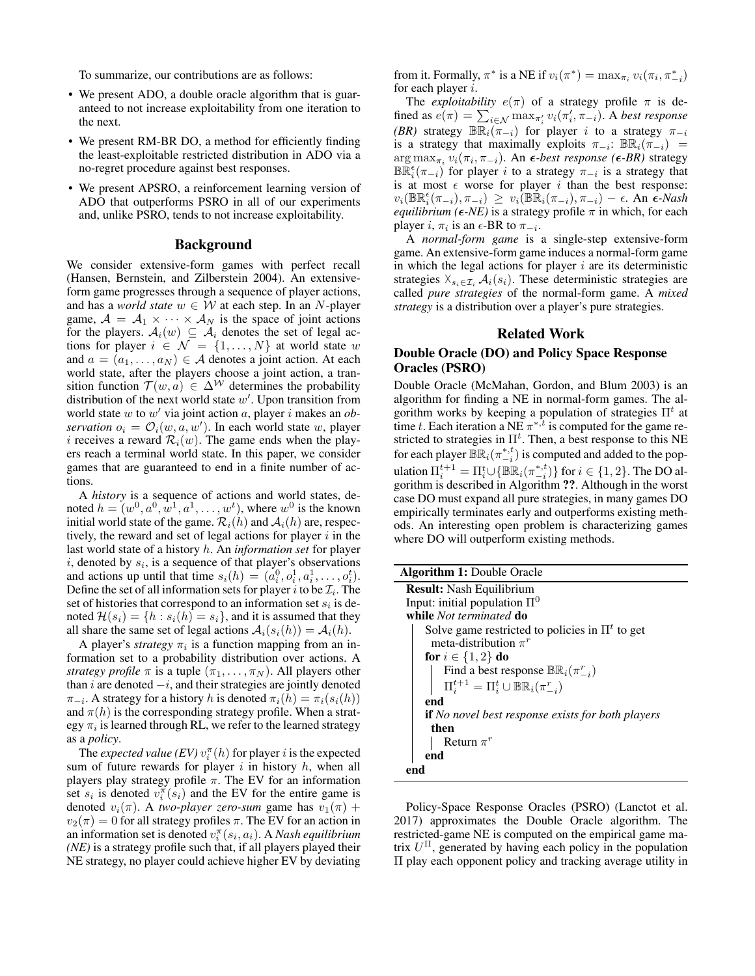To summarize, our contributions are as follows:

- We present ADO, a double oracle algorithm that is guaranteed to not increase exploitability from one iteration to the next.
- We present RM-BR DO, a method for efficiently finding the least-exploitable restricted distribution in ADO via a no-regret procedure against best responses.
- We present APSRO, a reinforcement learning version of ADO that outperforms PSRO in all of our experiments and, unlike PSRO, tends to not increase exploitability.

#### Background

We consider extensive-form games with perfect recall (Hansen, Bernstein, and Zilberstein 2004). An extensiveform game progresses through a sequence of player actions, and has a *world state*  $w \in W$  at each step. In an N-player game,  $A = A_1 \times \cdots \times A_N$  is the space of joint actions for the players.  $A_i(w) \subseteq A_i$  denotes the set of legal actions for player  $i \in \mathcal{N} = \{1, \ldots, N\}$  at world state w and  $a = (a_1, \ldots, a_N) \in \mathcal{A}$  denotes a joint action. At each world state, after the players choose a joint action, a transition function  $\mathcal{T}(w, a) \in \Delta^{\mathcal{W}}$  determines the probability distribution of the next world state  $w'$ . Upon transition from world state w to w ′ via joint action a, player i makes an *observation*  $o_i = O_i(w, a, w')$ . In each world state w, player i receives a reward  $\mathcal{R}_i(w)$ . The game ends when the players reach a terminal world state. In this paper, we consider games that are guaranteed to end in a finite number of actions.

A *history* is a sequence of actions and world states, denoted  $h = (w^0, a^0, w^1, a^1, \dots, w^t)$ , where  $w^0$  is the known initial world state of the game.  $\mathcal{R}_i(h)$  and  $\mathcal{A}_i(h)$  are, respectively, the reward and set of legal actions for player  $i$  in the last world state of a history h. An *information set* for player i, denoted by  $s_i$ , is a sequence of that player's observations and actions up until that time  $s_i(h) = (a_i^0, o_i^1, a_i^1, \dots, o_i^t)$ . Define the set of all information sets for player i to be  $\mathcal{I}_i$ . The set of histories that correspond to an information set  $s_i$  is denoted  $\mathcal{H}(s_i) = \{h : s_i(h) = s_i\}$ , and it is assumed that they all share the same set of legal actions  $A_i(s_i(h)) = A_i(h)$ .

A player's *strategy*  $\pi_i$  is a function mapping from an information set to a probability distribution over actions. A *strategy profile*  $\pi$  is a tuple  $(\pi_1, \ldots, \pi_N)$ . All players other than  $i$  are denoted  $-i$ , and their strategies are jointly denoted  $\pi_{-i}$ . A strategy for a history h is denoted  $\pi_i(h) = \pi_i(s_i(h))$ and  $\pi(h)$  is the corresponding strategy profile. When a strategy  $\pi_i$  is learned through RL, we refer to the learned strategy as a *policy*.

The *expected value* (*EV*)  $v_i^{\pi}(h)$  for player *i* is the expected sum of future rewards for player  $i$  in history  $h$ , when all players play strategy profile  $\pi$ . The EV for an information set  $s_i$  is denoted  $v_i^{\pi}(s_i)$  and the EV for the entire game is denoted  $v_i(\pi)$ . A *two-player zero-sum* game has  $v_1(\pi)$  +  $v_2(\pi) = 0$  for all strategy profiles  $\pi$ . The EV for an action in an information set is denoted  $v_i^{\pi}(s_i, a_i)$ . A *Nash equilibrium (NE)* is a strategy profile such that, if all players played their NE strategy, no player could achieve higher EV by deviating

from it. Formally,  $\pi^*$  is a NE if  $v_i(\pi^*) = \max_{\pi_i} v_i(\pi_i, \pi_{-i}^*)$ for each player i.

The *exploitability*  $e(\pi)$  of a strategy profile  $\pi$  is defined as  $\hat{e}(\pi) = \sum_{i \in \mathcal{N}} \max_{\pi'_i} v_i(\pi'_i, \pi_{-i})$ . A *best response (BR)* strategy  $\mathbb{BR}_i(\pi_{-i})$  for player *i* to a strategy  $\pi_{-i}$ is a strategy that maximally exploits  $\pi_{-i}$ :  $\mathbb{BR}_i(\pi_{-i})$  =  $\arg \max_{\pi_i} v_i(\pi_i, \pi_{-i})$ . An  $\epsilon$ -best response ( $\epsilon$ -BR) strategy  $\mathbb{BR}_{i}^{\epsilon}(\pi_{-i})$  for player i to a strategy  $\pi_{-i}$  is a strategy that is at most  $\epsilon$  worse for player i than the best response:  $v_i(\mathbb{BR}_i^{\epsilon}(\pi_{-i}), \pi_{-i}) \geq v_i(\mathbb{BR}_i(\pi_{-i}), \pi_{-i}) - \epsilon$ . An  $\epsilon$ -*Nash equilibrium (* $\epsilon$ *-NE)* is a strategy profile  $\pi$  in which, for each player *i*,  $\pi_i$  is an  $\epsilon$ -BR to  $\pi_{-i}$ .

A *normal-form game* is a single-step extensive-form game. An extensive-form game induces a normal-form game in which the legal actions for player  $i$  are its deterministic strategies  $\chi_{s_i \in \mathcal{I}_i}$ ,  $\mathcal{A}_i(s_i)$ . These deterministic strategies are called *pure strategies* of the normal-form game. A *mixed strategy* is a distribution over a player's pure strategies.

#### Related Work

## Double Oracle (DO) and Policy Space Response Oracles (PSRO)

Double Oracle (McMahan, Gordon, and Blum 2003) is an algorithm for finding a NE in normal-form games. The algorithm works by keeping a population of strategies  $\Pi^t$  at time t. Each iteration a NE  $\pi^{*,t}$  is computed for the game restricted to strategies in  $\Pi^t$ . Then, a best response to this NE for each player  $\mathbb{BR}_i(\pi^{*,t}_{-i})$  is computed and added to the population  $\Pi_i^{t+1} = \Pi_i^t \cup \{ \mathbb{BR}_i(\pi_{-i}^{*,t}) \}$  for  $i \in \{1,2\}$ . The DO algorithm is described in Algorithm ??. Although in the worst case DO must expand all pure strategies, in many games DO empirically terminates early and outperforms existing methods. An interesting open problem is characterizing games where DO will outperform existing methods.

| <b>Algorithm 1: Double Oracle</b>                        |
|----------------------------------------------------------|
| <b>Result:</b> Nash Equilibrium                          |
| Input: initial population $\Pi^0$                        |
| while <i>Not terminated</i> do                           |
| Solve game restricted to policies in $\Pi^t$ to get      |
| meta-distribution $\pi^r$                                |
| for $i \in \{1, 2\}$ do                                  |
| Find a best response $\mathbb{BR}_i(\pi_{-i}^r)$         |
| $\Pi_i^{t+1} = \Pi_i^t \cup \mathbb{BR}_i(\pi_{-i}^r)$   |
| end                                                      |
| <b>if</b> No novel best response exists for both players |
| then                                                     |
| Return $\pi^r$                                           |
| end                                                      |
|                                                          |

Policy-Space Response Oracles (PSRO) (Lanctot et al. 2017) approximates the Double Oracle algorithm. The restricted-game NE is computed on the empirical game matrix  $U^{\Pi}$ , generated by having each policy in the population Π play each opponent policy and tracking average utility in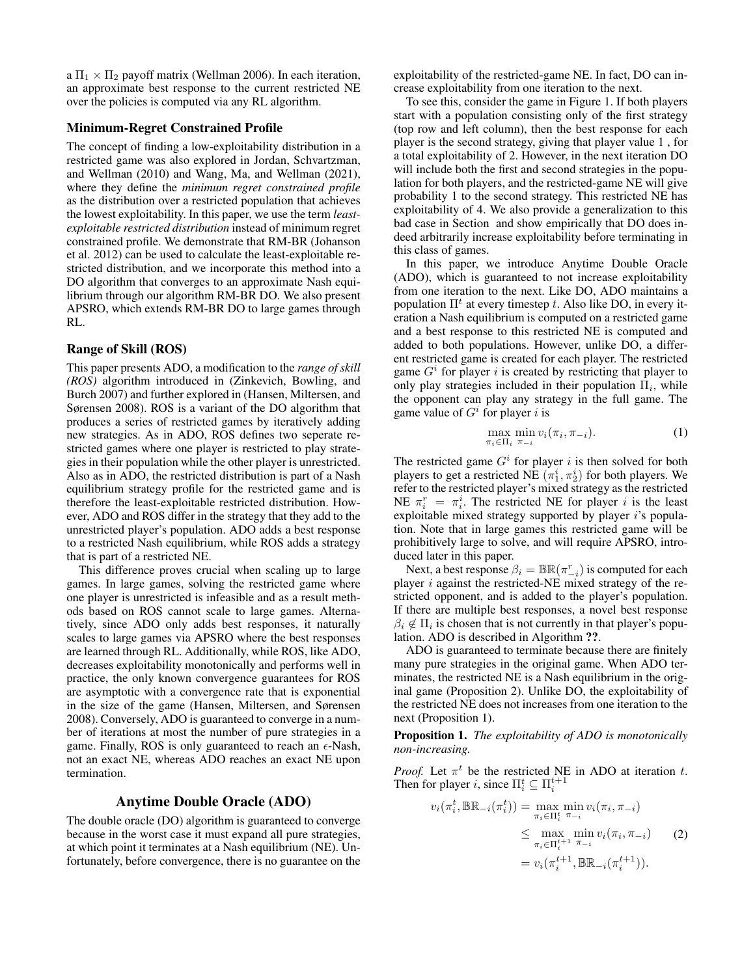a  $\Pi_1 \times \Pi_2$  payoff matrix (Wellman 2006). In each iteration, an approximate best response to the current restricted NE over the policies is computed via any RL algorithm.

#### Minimum-Regret Constrained Profile

The concept of finding a low-exploitability distribution in a restricted game was also explored in Jordan, Schvartzman, and Wellman (2010) and Wang, Ma, and Wellman (2021), where they define the *minimum regret constrained profile* as the distribution over a restricted population that achieves the lowest exploitability. In this paper, we use the term *leastexploitable restricted distribution* instead of minimum regret constrained profile. We demonstrate that RM-BR (Johanson et al. 2012) can be used to calculate the least-exploitable restricted distribution, and we incorporate this method into a DO algorithm that converges to an approximate Nash equilibrium through our algorithm RM-BR DO. We also present APSRO, which extends RM-BR DO to large games through RL.

### Range of Skill (ROS)

This paper presents ADO, a modification to the *range of skill (ROS)* algorithm introduced in (Zinkevich, Bowling, and Burch 2007) and further explored in (Hansen, Miltersen, and Sørensen 2008). ROS is a variant of the DO algorithm that produces a series of restricted games by iteratively adding new strategies. As in ADO, ROS defines two seperate restricted games where one player is restricted to play strategies in their population while the other player is unrestricted. Also as in ADO, the restricted distribution is part of a Nash equilibrium strategy profile for the restricted game and is therefore the least-exploitable restricted distribution. However, ADO and ROS differ in the strategy that they add to the unrestricted player's population. ADO adds a best response to a restricted Nash equilibrium, while ROS adds a strategy that is part of a restricted NE.

This difference proves crucial when scaling up to large games. In large games, solving the restricted game where one player is unrestricted is infeasible and as a result methods based on ROS cannot scale to large games. Alternatively, since ADO only adds best responses, it naturally scales to large games via APSRO where the best responses are learned through RL. Additionally, while ROS, like ADO, decreases exploitability monotonically and performs well in practice, the only known convergence guarantees for ROS are asymptotic with a convergence rate that is exponential in the size of the game (Hansen, Miltersen, and Sørensen 2008). Conversely, ADO is guaranteed to converge in a number of iterations at most the number of pure strategies in a game. Finally, ROS is only guaranteed to reach an  $\epsilon$ -Nash, not an exact NE, whereas ADO reaches an exact NE upon termination.

### Anytime Double Oracle (ADO)

The double oracle (DO) algorithm is guaranteed to converge because in the worst case it must expand all pure strategies, at which point it terminates at a Nash equilibrium (NE). Unfortunately, before convergence, there is no guarantee on the exploitability of the restricted-game NE. In fact, DO can increase exploitability from one iteration to the next.

To see this, consider the game in Figure 1. If both players start with a population consisting only of the first strategy (top row and left column), then the best response for each player is the second strategy, giving that player value 1 , for a total exploitability of 2. However, in the next iteration DO will include both the first and second strategies in the population for both players, and the restricted-game NE will give probability 1 to the second strategy. This restricted NE has exploitability of 4. We also provide a generalization to this bad case in Section and show empirically that DO does indeed arbitrarily increase exploitability before terminating in this class of games.

In this paper, we introduce Anytime Double Oracle (ADO), which is guaranteed to not increase exploitability from one iteration to the next. Like DO, ADO maintains a population  $\Pi^t$  at every timestep t. Also like DO, in every iteration a Nash equilibrium is computed on a restricted game and a best response to this restricted NE is computed and added to both populations. However, unlike DO, a different restricted game is created for each player. The restricted game  $G<sup>i</sup>$  for player i is created by restricting that player to only play strategies included in their population  $\Pi_i$ , while the opponent can play any strategy in the full game. The game value of  $G^i$  for player i is

$$
\max_{\pi_i \in \Pi_i} \min_{\pi_{-i}} v_i(\pi_i, \pi_{-i}).\tag{1}
$$

The restricted game  $G<sup>i</sup>$  for player i is then solved for both players to get a restricted NE  $(\pi_1^i, \pi_2^i)$  for both players. We refer to the restricted player's mixed strategy as the restricted NE  $\pi_i^r = \pi_i^i$ . The restricted NE for player i is the least exploitable mixed strategy supported by player *i*'s population. Note that in large games this restricted game will be prohibitively large to solve, and will require APSRO, introduced later in this paper.

Next, a best response  $\beta_i = \mathbb{BR}(\pi_{-i}^r)$  is computed for each player i against the restricted-NE mixed strategy of the restricted opponent, and is added to the player's population. If there are multiple best responses, a novel best response  $\beta_i \notin \Pi_i$  is chosen that is not currently in that player's population. ADO is described in Algorithm ??.

ADO is guaranteed to terminate because there are finitely many pure strategies in the original game. When ADO terminates, the restricted NE is a Nash equilibrium in the original game (Proposition 2). Unlike DO, the exploitability of the restricted NE does not increases from one iteration to the next (Proposition 1).

Proposition 1. *The exploitability of ADO is monotonically non-increasing.*

*Proof.* Let  $\pi^t$  be the restricted NE in ADO at iteration t. Then for player *i*, since  $\Pi_i^t \subseteq \Pi_i^{t+1}$ 

$$
v_i(\pi_i^t, \mathbb{BR}_{-i}(\pi_i^t)) = \max_{\pi_i \in \Pi_i^t} \min_{\pi_{-i}} v_i(\pi_i, \pi_{-i})
$$
  
\$\leq\$ max<sub>pi\_i \in \Pi\_i^{t+1} \pi\_{-i}\$  
\$\leq\$  $\pi_i \in \Pi_i^{t+1} \pi_{-i}$
$$
= v_i(\pi_i^{t+1}, \mathbb{BR}_{-i}(\pi_i^{t+1})).
$$
 (2)$</sub>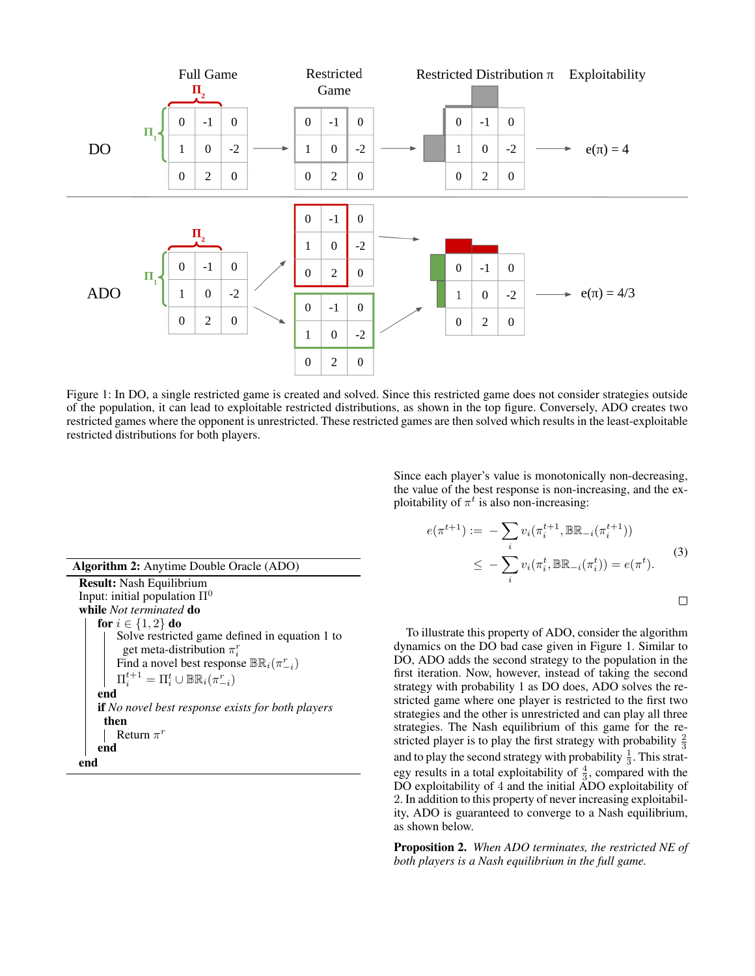

Figure 1: In DO, a single restricted game is created and solved. Since this restricted game does not consider strategies outside of the population, it can lead to exploitable restricted distributions, as shown in the top figure. Conversely, ADO creates two restricted games where the opponent is unrestricted. These restricted games are then solved which results in the least-exploitable restricted distributions for both players.

| <b>Algorithm 2:</b> Anytime Double Oracle (ADO)          |
|----------------------------------------------------------|
| <b>Result:</b> Nash Equilibrium                          |
| Input: initial population $\Pi^0$                        |
| while <i>Not terminated</i> do                           |
| for $i \in \{1, 2\}$ do                                  |
| Solve restricted game defined in equation 1 to           |
| get meta-distribution $\pi_i^r$                          |
| Find a novel best response $\mathbb{BR}_i(\pi_{-i}^r)$   |
| $\Pi_i^{t+1} = \Pi_i^t \cup \mathbb{BR}_i(\pi_{-i}^r)$   |
| end                                                      |
| <b>if</b> No novel best response exists for both players |
| then                                                     |
| Return $\pi^r$                                           |
| end                                                      |
|                                                          |

Since each player's value is monotonically non-decreasing, the value of the best response is non-increasing, and the exploitability of  $\pi^t$  is also non-increasing:

$$
e(\pi^{t+1}) := -\sum_{i} v_i(\pi_i^{t+1}, \mathbb{BR}_{-i}(\pi_i^{t+1}))
$$
  

$$
\leq -\sum_{i} v_i(\pi_i^{t}, \mathbb{BR}_{-i}(\pi_i^{t})) = e(\pi^{t}).
$$
 (3)

 $\Box$ 

To illustrate this property of ADO, consider the algorithm dynamics on the DO bad case given in Figure 1. Similar to DO, ADO adds the second strategy to the population in the first iteration. Now, however, instead of taking the second strategy with probability 1 as DO does, ADO solves the restricted game where one player is restricted to the first two strategies and the other is unrestricted and can play all three strategies. The Nash equilibrium of this game for the restricted player is to play the first strategy with probability  $\frac{2}{3}$ and to play the second strategy with probability  $\frac{1}{3}$ . This strategy results in a total exploitability of  $\frac{4}{3}$ , compared with the DO exploitability of 4 and the initial ADO exploitability of 2. In addition to this property of never increasing exploitability, ADO is guaranteed to converge to a Nash equilibrium, as shown below.

Proposition 2. *When ADO terminates, the restricted NE of both players is a Nash equilibrium in the full game.*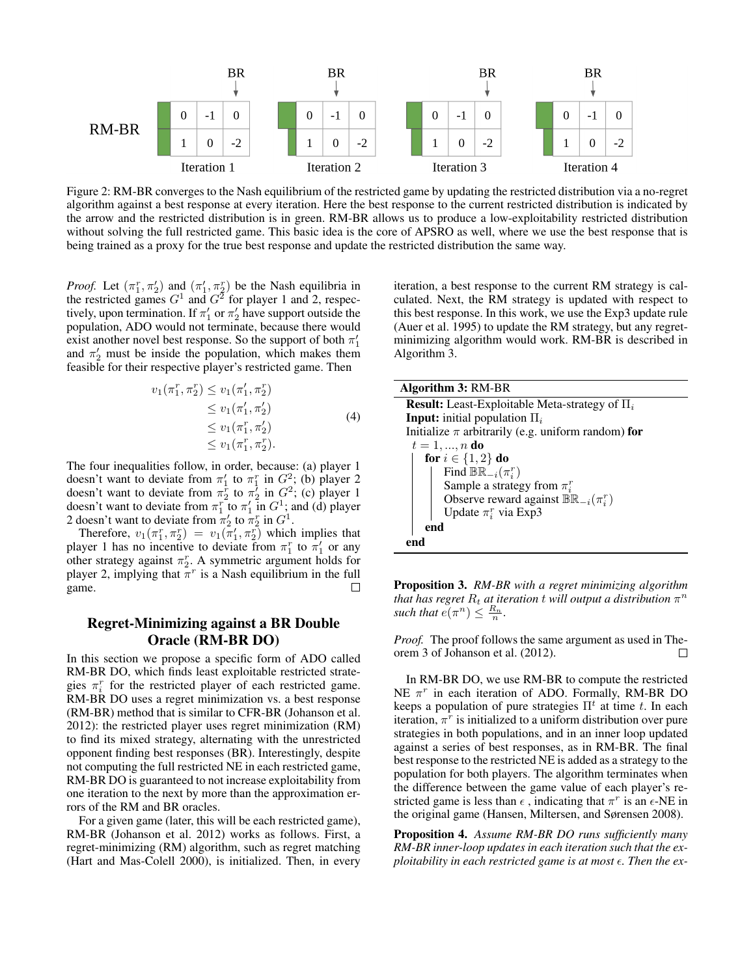

Figure 2: RM-BR converges to the Nash equilibrium of the restricted game by updating the restricted distribution via a no-regret algorithm against a best response at every iteration. Here the best response to the current restricted distribution is indicated by the arrow and the restricted distribution is in green. RM-BR allows us to produce a low-exploitability restricted distribution without solving the full restricted game. This basic idea is the core of APSRO as well, where we use the best response that is being trained as a proxy for the true best response and update the restricted distribution the same way.

*Proof.* Let  $(\pi_1^r, \pi_2^r)$  and  $(\pi_1', \pi_2^r)$  be the Nash equilibria in the restricted games  $G^1$  and  $G^2$  for player 1 and 2, respectively, upon termination. If  $\pi'_1$  or  $\pi'_2$  have support outside the population, ADO would not terminate, because there would exist another novel best response. So the support of both  $\pi'_1$ and  $\pi'_2$  must be inside the population, which makes them feasible for their respective player's restricted game. Then

$$
v_1(\pi_1^r, \pi_2^r) \le v_1(\pi_1', \pi_2^r) \n\le v_1(\pi_1', \pi_2') \n\le v_1(\pi_1^r, \pi_2') \n\le v_1(\pi_1^r, \pi_2^r).
$$
\n(4)

The four inequalities follow, in order, because: (a) player 1 doesn't want to deviate from  $\pi'_1$  to  $\pi_1^r$  in  $G^2$ ; (b) player 2 doesn't want to deviate from  $\pi_2^r$  to  $\pi_2^j$  in  $G^2$ ; (c) player 1 doesn't want to deviate from  $\pi_1^r$  to  $\pi_1'$  in  $G^1$ ; and (d) player 2 doesn't want to deviate from  $\pi'_2$  to  $\pi_2^r$  in  $G^1$ .

Therefore,  $v_1(\pi_1^r, \pi_2^r) = v_1(\pi_1^r, \pi_2^r)$  which implies that player 1 has no incentive to deviate from  $\pi_1^r$  to  $\pi_1^r$  or any other strategy against  $\pi_2^r$ . A symmetric argument holds for player 2, implying that  $\pi^r$  is a Nash equilibrium in the full game. П

# Regret-Minimizing against a BR Double Oracle (RM-BR DO)

In this section we propose a specific form of ADO called RM-BR DO, which finds least exploitable restricted strategies  $\pi_i^r$  for the restricted player of each restricted game. RM-BR DO uses a regret minimization vs. a best response (RM-BR) method that is similar to CFR-BR (Johanson et al. 2012): the restricted player uses regret minimization (RM) to find its mixed strategy, alternating with the unrestricted opponent finding best responses (BR). Interestingly, despite not computing the full restricted NE in each restricted game, RM-BR DO is guaranteed to not increase exploitability from one iteration to the next by more than the approximation errors of the RM and BR oracles.

For a given game (later, this will be each restricted game), RM-BR (Johanson et al. 2012) works as follows. First, a regret-minimizing (RM) algorithm, such as regret matching (Hart and Mas-Colell 2000), is initialized. Then, in every

iteration, a best response to the current RM strategy is calculated. Next, the RM strategy is updated with respect to this best response. In this work, we use the Exp3 update rule (Auer et al. 1995) to update the RM strategy, but any regretminimizing algorithm would work. RM-BR is described in Algorithm 3.

Proposition 3. *RM-BR with a regret minimizing algorithm*  $t$ hat has regret  $R_t$  at iteration  $t$  will output a distribution  $\pi^n$ *such that*  $e(\pi^n) \leq \frac{R_n}{n}$ *.* 

*Proof.* The proof follows the same argument as used in Theorem 3 of Johanson et al. (2012).  $\Box$ 

In RM-BR DO, we use RM-BR to compute the restricted NE  $\pi^r$  in each iteration of ADO. Formally, RM-BR DO keeps a population of pure strategies  $\Pi^t$  at time t. In each iteration,  $\pi^r$  is initialized to a uniform distribution over pure strategies in both populations, and in an inner loop updated against a series of best responses, as in RM-BR. The final best response to the restricted NE is added as a strategy to the population for both players. The algorithm terminates when the difference between the game value of each player's restricted game is less than  $\epsilon$ , indicating that  $\pi^r$  is an  $\epsilon$ -NE in the original game (Hansen, Miltersen, and Sørensen 2008).

Proposition 4. *Assume RM-BR DO runs sufficiently many RM-BR inner-loop updates in each iteration such that the exploitability in each restricted game is at most* ϵ*. Then the ex-*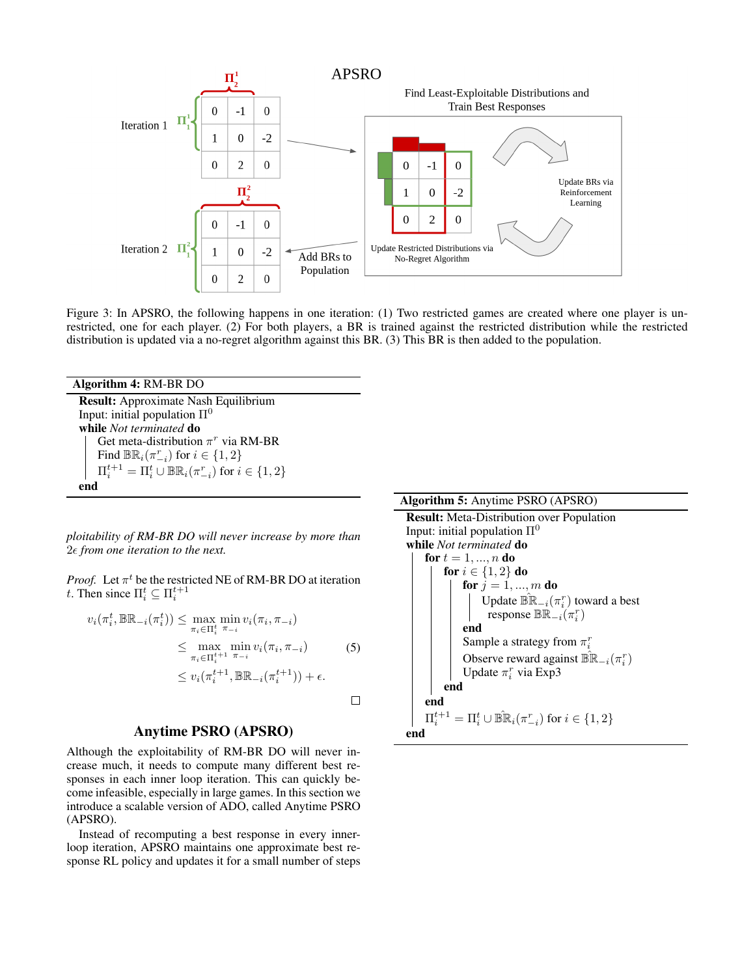

Figure 3: In APSRO, the following happens in one iteration: (1) Two restricted games are created where one player is unrestricted, one for each player. (2) For both players, a BR is trained against the restricted distribution while the restricted distribution is updated via a no-regret algorithm against this BR. (3) This BR is then added to the population.

| Algorithm 4: RM-BR DO                                                       |
|-----------------------------------------------------------------------------|
| <b>Result:</b> Approximate Nash Equilibrium                                 |
| Input: initial population $\Pi^0$                                           |
| while Not terminated do                                                     |
| Get meta-distribution $\pi^r$ via RM-BR                                     |
| Find $\mathbb{BR}_i(\pi_{-i}^r)$ for $i \in \{1,2\}$                        |
| $\Pi_i^{t+1} = \Pi_i^t \cup \mathbb{BR}_i(\pi_{-i}^r)$ for $i \in \{1, 2\}$ |
|                                                                             |

*ploitability of RM-BR DO will never increase by more than* 2€ *from one iteration to the next.* 

*Proof.* Let  $\pi^t$  be the restricted NE of RM-BR DO at iteration t. Then since  $\Pi_i^t \subseteq \Pi_i^{t+1}$ 

$$
v_i(\pi_i^t, \mathbb{BR}_{-i}(\pi_i^t)) \le \max_{\pi_i \in \Pi_i^t} \min_{\pi_{-i}} v_i(\pi_i, \pi_{-i})
$$
  
\n
$$
\le \max_{\pi_i \in \Pi_i^{t+1}} \min_{\pi_{-i}} v_i(\pi_i, \pi_{-i})
$$
  
\n
$$
\le v_i(\pi_i^{t+1}, \mathbb{BR}_{-i}(\pi_i^{t+1})) + \epsilon.
$$

## Anytime PSRO (APSRO)

Although the exploitability of RM-BR DO will never increase much, it needs to compute many different best responses in each inner loop iteration. This can quickly become infeasible, especially in large games. In this section we introduce a scalable version of ADO, called Anytime PSRO (APSRO).

Instead of recomputing a best response in every innerloop iteration, APSRO maintains one approximate best response RL policy and updates it for a small number of steps Algorithm 5: Anytime PSRO (APSRO)

Result: Meta-Distribution over Population Input: initial population  $\Pi^0$ while *Not terminated* do for  $t = 1, ..., n$  do for  $i \in \{1,2\}$  do for  $j = 1, ..., m$  do Update  $\mathbb{B} \mathbb{R}_{-i}(\pi_i^r)$  toward a best response  $\mathbb{BR}_{-i}(\pi_i^r)$ end Sample a strategy from  $\pi_i^r$ Observe reward against  $\mathbb{B} \mathbb{R}_{-i}(\pi_i^r)$ Update  $\pi_i^r$  via Exp3 end end  $\Pi_i^{t+1} = \Pi_i^t \cup \hat{\mathbb{B}} \hat{\mathbb{R}}_i (\pi_{-i}^r)$  for  $i \in \{1,2\}$ end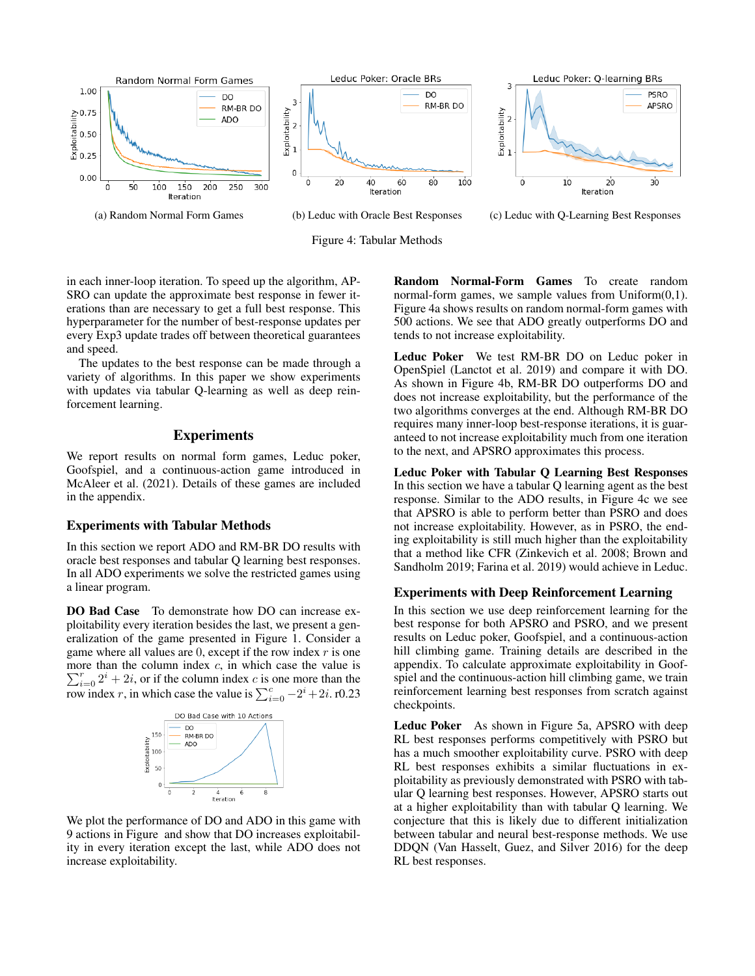

Figure 4: Tabular Methods

in each inner-loop iteration. To speed up the algorithm, AP-SRO can update the approximate best response in fewer iterations than are necessary to get a full best response. This hyperparameter for the number of best-response updates per every Exp3 update trades off between theoretical guarantees and speed.

The updates to the best response can be made through a variety of algorithms. In this paper we show experiments with updates via tabular Q-learning as well as deep reinforcement learning.

## **Experiments**

We report results on normal form games, Leduc poker, Goofspiel, and a continuous-action game introduced in McAleer et al. (2021). Details of these games are included in the appendix.

### Experiments with Tabular Methods

In this section we report ADO and RM-BR DO results with oracle best responses and tabular Q learning best responses. In all ADO experiments we solve the restricted games using a linear program.

DO Bad Case To demonstrate how DO can increase exploitability every iteration besides the last, we present a generalization of the game presented in Figure 1. Consider a game where all values are  $0$ , except if the row index  $r$  is one  $\sum_{i=0}^{r} 2^{i} + 2i$ , or if the column index c is one more than the more than the column index  $c$ , in which case the value is row index r, in which case the value is  $\sum_{i=0}^{c} -2^{i} + 2i$ . r0.23



We plot the performance of DO and ADO in this game with 9 actions in Figure and show that DO increases exploitability in every iteration except the last, while ADO does not increase exploitability.

Random Normal-Form Games To create random normal-form games, we sample values from  $Uniform(0,1)$ . Figure 4a shows results on random normal-form games with 500 actions. We see that ADO greatly outperforms DO and tends to not increase exploitability.

Leduc Poker We test RM-BR DO on Leduc poker in OpenSpiel (Lanctot et al. 2019) and compare it with DO. As shown in Figure 4b, RM-BR DO outperforms DO and does not increase exploitability, but the performance of the two algorithms converges at the end. Although RM-BR DO requires many inner-loop best-response iterations, it is guaranteed to not increase exploitability much from one iteration to the next, and APSRO approximates this process.

Leduc Poker with Tabular Q Learning Best Responses In this section we have a tabular Q learning agent as the best response. Similar to the ADO results, in Figure 4c we see that APSRO is able to perform better than PSRO and does not increase exploitability. However, as in PSRO, the ending exploitability is still much higher than the exploitability that a method like CFR (Zinkevich et al. 2008; Brown and Sandholm 2019; Farina et al. 2019) would achieve in Leduc.

### Experiments with Deep Reinforcement Learning

In this section we use deep reinforcement learning for the best response for both APSRO and PSRO, and we present results on Leduc poker, Goofspiel, and a continuous-action hill climbing game. Training details are described in the appendix. To calculate approximate exploitability in Goofspiel and the continuous-action hill climbing game, we train reinforcement learning best responses from scratch against checkpoints.

Leduc Poker As shown in Figure 5a, APSRO with deep RL best responses performs competitively with PSRO but has a much smoother exploitability curve. PSRO with deep RL best responses exhibits a similar fluctuations in exploitability as previously demonstrated with PSRO with tabular Q learning best responses. However, APSRO starts out at a higher exploitability than with tabular Q learning. We conjecture that this is likely due to different initialization between tabular and neural best-response methods. We use DDQN (Van Hasselt, Guez, and Silver 2016) for the deep RL best responses.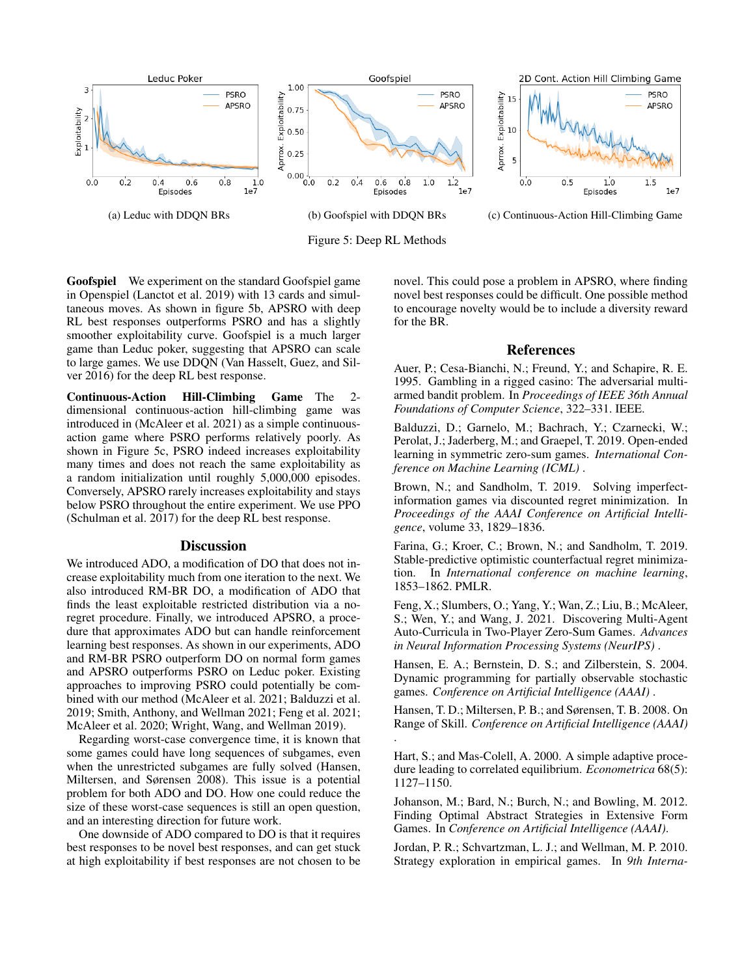

Figure 5: Deep RL Methods



Goofspiel We experiment on the standard Goofspiel game in Openspiel (Lanctot et al. 2019) with 13 cards and simultaneous moves. As shown in figure 5b, APSRO with deep RL best responses outperforms PSRO and has a slightly smoother exploitability curve. Goofspiel is a much larger game than Leduc poker, suggesting that APSRO can scale to large games. We use DDQN (Van Hasselt, Guez, and Silver 2016) for the deep RL best response.

Continuous-Action Hill-Climbing Game The 2 dimensional continuous-action hill-climbing game was introduced in (McAleer et al. 2021) as a simple continuousaction game where PSRO performs relatively poorly. As shown in Figure 5c, PSRO indeed increases exploitability many times and does not reach the same exploitability as a random initialization until roughly 5,000,000 episodes. Conversely, APSRO rarely increases exploitability and stays below PSRO throughout the entire experiment. We use PPO (Schulman et al. 2017) for the deep RL best response.

### **Discussion**

We introduced ADO, a modification of DO that does not increase exploitability much from one iteration to the next. We also introduced RM-BR DO, a modification of ADO that finds the least exploitable restricted distribution via a noregret procedure. Finally, we introduced APSRO, a procedure that approximates ADO but can handle reinforcement learning best responses. As shown in our experiments, ADO and RM-BR PSRO outperform DO on normal form games and APSRO outperforms PSRO on Leduc poker. Existing approaches to improving PSRO could potentially be combined with our method (McAleer et al. 2021; Balduzzi et al. 2019; Smith, Anthony, and Wellman 2021; Feng et al. 2021; McAleer et al. 2020; Wright, Wang, and Wellman 2019).

Regarding worst-case convergence time, it is known that some games could have long sequences of subgames, even when the unrestricted subgames are fully solved (Hansen, Miltersen, and Sørensen 2008). This issue is a potential problem for both ADO and DO. How one could reduce the size of these worst-case sequences is still an open question, and an interesting direction for future work.

One downside of ADO compared to DO is that it requires best responses to be novel best responses, and can get stuck at high exploitability if best responses are not chosen to be novel. This could pose a problem in APSRO, where finding novel best responses could be difficult. One possible method to encourage novelty would be to include a diversity reward for the BR.

#### References

Auer, P.; Cesa-Bianchi, N.; Freund, Y.; and Schapire, R. E. 1995. Gambling in a rigged casino: The adversarial multiarmed bandit problem. In *Proceedings of IEEE 36th Annual Foundations of Computer Science*, 322–331. IEEE.

Balduzzi, D.; Garnelo, M.; Bachrach, Y.; Czarnecki, W.; Perolat, J.; Jaderberg, M.; and Graepel, T. 2019. Open-ended learning in symmetric zero-sum games. *International Conference on Machine Learning (ICML)* .

Brown, N.; and Sandholm, T. 2019. Solving imperfectinformation games via discounted regret minimization. In *Proceedings of the AAAI Conference on Artificial Intelligence*, volume 33, 1829–1836.

Farina, G.; Kroer, C.; Brown, N.; and Sandholm, T. 2019. Stable-predictive optimistic counterfactual regret minimization. In *International conference on machine learning*, 1853–1862. PMLR.

Feng, X.; Slumbers, O.; Yang, Y.; Wan, Z.; Liu, B.; McAleer, S.; Wen, Y.; and Wang, J. 2021. Discovering Multi-Agent Auto-Curricula in Two-Player Zero-Sum Games. *Advances in Neural Information Processing Systems (NeurIPS)* .

Hansen, E. A.; Bernstein, D. S.; and Zilberstein, S. 2004. Dynamic programming for partially observable stochastic games. *Conference on Artificial Intelligence (AAAI)* .

Hansen, T. D.; Miltersen, P. B.; and Sørensen, T. B. 2008. On Range of Skill. *Conference on Artificial Intelligence (AAAI)* .

Hart, S.; and Mas-Colell, A. 2000. A simple adaptive procedure leading to correlated equilibrium. *Econometrica* 68(5): 1127–1150.

Johanson, M.; Bard, N.; Burch, N.; and Bowling, M. 2012. Finding Optimal Abstract Strategies in Extensive Form Games. In *Conference on Artificial Intelligence (AAAI)*.

Jordan, P. R.; Schvartzman, L. J.; and Wellman, M. P. 2010. Strategy exploration in empirical games. In *9th Interna-*